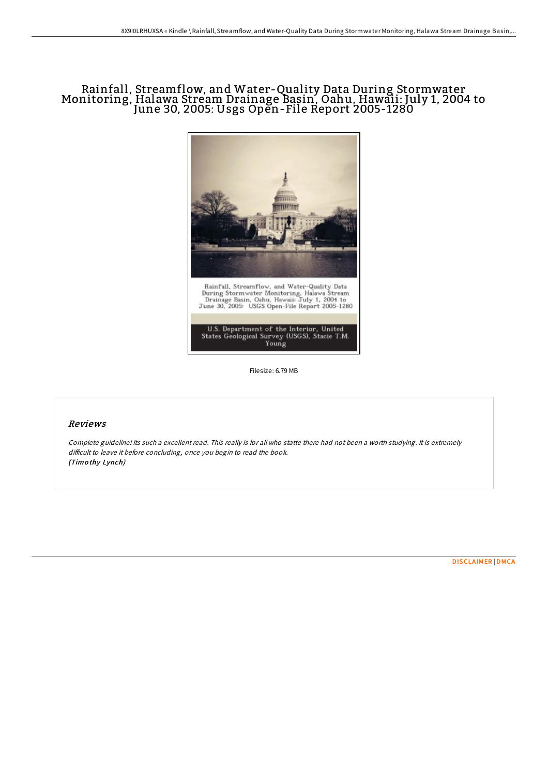# Rainfall, Streamflow, and Water-Quality Data During Stormwater Monitoring, Halawa Stream Drainage Basin, Oahu, Hawaii: July 1, 2004 to June 30, 2005: Usgs Open-File Report 2005-1280



Filesize: 6.79 MB

## Reviews

Complete guideline! Its such <sup>a</sup> excellent read. This really is for all who statte there had not been <sup>a</sup> worth studying. It is extremely difficult to leave it before concluding, once you begin to read the book. (Timo thy Lynch)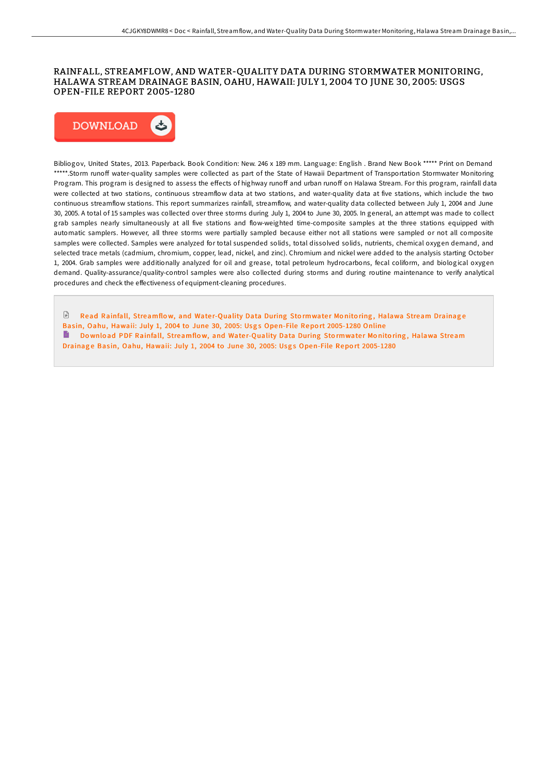#### RAINFALL, STREAMFLOW, AND WATER-QUALITY DATA DURING STORMWATER MONITORING, HALAWA STREAM DRAINAGE BASIN, OAHU, HAWAII: JULY 1, 2004 TO JUNE 30, 2005: USGS OPEN-FILE REPORT 2005-1280



Bibliogov, United States, 2013. Paperback. Book Condition: New. 246 x 189 mm. Language: English . Brand New Book \*\*\*\*\* Print on Demand \*\*\*\*\*.Storm runoff water-quality samples were collected as part of the State of Hawaii Department of Transportation Stormwater Monitoring Program. This program is designed to assess the effects of highway runoff and urban runoff on Halawa Stream. For this program, rainfall data were collected at two stations, continuous streamflow data at two stations, and water-quality data at five stations, which include the two continuous streamflow stations. This report summarizes rainfall, streamflow, and water-quality data collected between July 1, 2004 and June 30, 2005. A total of 15 samples was collected over three storms during July 1, 2004 to June 30, 2005. In general, an attempt was made to collect grab samples nearly simultaneously at all five stations and flow-weighted time-composite samples at the three stations equipped with automatic samplers. However, all three storms were partially sampled because either not all stations were sampled or not all composite samples were collected. Samples were analyzed for total suspended solids, total dissolved solids, nutrients, chemical oxygen demand, and selected trace metals (cadmium, chromium, copper, lead, nickel, and zinc). Chromium and nickel were added to the analysis starting October 1, 2004. Grab samples were additionally analyzed for oil and grease, total petroleum hydrocarbons, fecal coliform, and biological oxygen demand. Quality-assurance/quality-control samples were also collected during storms and during routine maintenance to verify analytical procedures and check the effectiveness of equipment-cleaning procedures.

 $\Box$ Read Rainfall, [Streamflo](http://almighty24.tech/rainfall-streamflow-and-water-quality-data-durin.html)w, and Water-Quality Data During Stormwater Monitoring, Halawa Stream Drainage Basin, Oahu, Hawaii: July 1, 2004 to June 30, 2005: Usgs Open-File Report 2005-1280 Online B Download PDF Rainfall, [Streamflo](http://almighty24.tech/rainfall-streamflow-and-water-quality-data-durin.html)w, and Water-Quality Data During Stormwater Monitoring, Halawa Stream Drainage Basin, Oahu, Hawaii: July 1, 2004 to June 30, 2005: Usgs Open-File Report 2005-1280